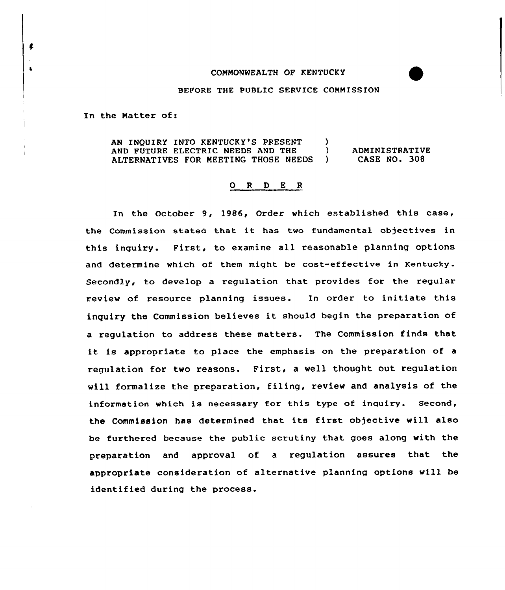## CONNOMWEALTH OF KENTUCKY

## BEFORE THE PUBLIC SERVICE CONNISSION

In the Natter of:

ı

 $\bullet$ 

AN INQUIRY INTO KENTUCKY'S PRESENT )<br>AND FUTURE ELECTRIC NEEDS AND THE ) AND FUTURE ELECTRIC NEEDS AND THE  $\qquad$  )<br>ALTERNATIVES FOR MEETING THOSE NEEDS ) ALTERNATIVES FOR MEETING THOSE NEEDS ADMINISTRATIVE CASE NO. 308

## 0 <sup>R</sup> <sup>D</sup> <sup>E</sup> <sup>R</sup>

In the October 9, 1986, Order which established this case, the Commission stated that it has two fundamental objectives in this inquiry. First, to examine all reasonable planning options and determine which of them might be cost-effective in Kentucky. Secondly, to develop a regulation that provides for the regular review of resource planning issues. In order to initiate this inquiry the Commission believes it should begin the preparation of a regulation to address these matters. The Commission finds that it is appropriate to place the emphasis on the preparation of <sup>a</sup> regulation for two reasons. First, a well thought out regulation will formalize the preparation, filing, review and analysis of the information which is necessary for this type of inquiry. Second, the Commission has determined that its first objective will also be furthered because the public scrutiny that goes along with the preparation and approval of a regulation assures that the appropriate consideration of alternative planning options will be identified during the process.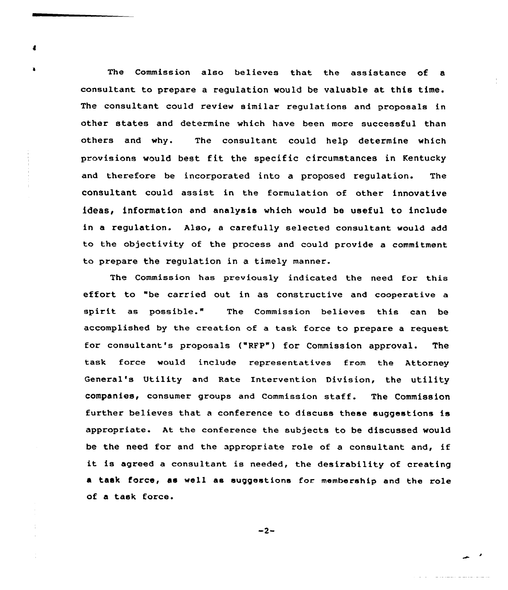The Commission also believes that the assistance of a consultant to prepare a regulation would be valuable at this time. The consultant could review similar regulations and proposals in other states and determine which have been more successful than others and why. The consultant could help determine which provisions would best fit the specific circumstances in Kentucky and therefore be incorporated into a proposed regulation. The consultant could assist in the formulation of other innovative ideas, information and analysis which would be useful to include in a regulation. Also, a carefully selected consultant would add to the objectivity of the process and could provide a commitment to prepare the regulation in a timely manner.

The Commission has previously indicated the need for this effort to "be carried out in as constructive and cooperative a spirit as possible." The Commission believes this can be accomplished by the creation of a task force to prepare a request for consultant's proposals ("RFP") for Commission approval. The task force would include representatives from the Attorney General's Utility and Rate Intervention Division, the utility companies, consumer groups and Commission staff. The Commission further believes that <sup>a</sup> conference to discuss these suggestions is appropriate. At the conference the subjects to be discussed would be the need for and the appropriate role of <sup>a</sup> consultant and, if it is agreed <sup>a</sup> consultant is needed, the desirability of creating a task force, as well as suggestions for membership and the role of a task force.

 $-2-$